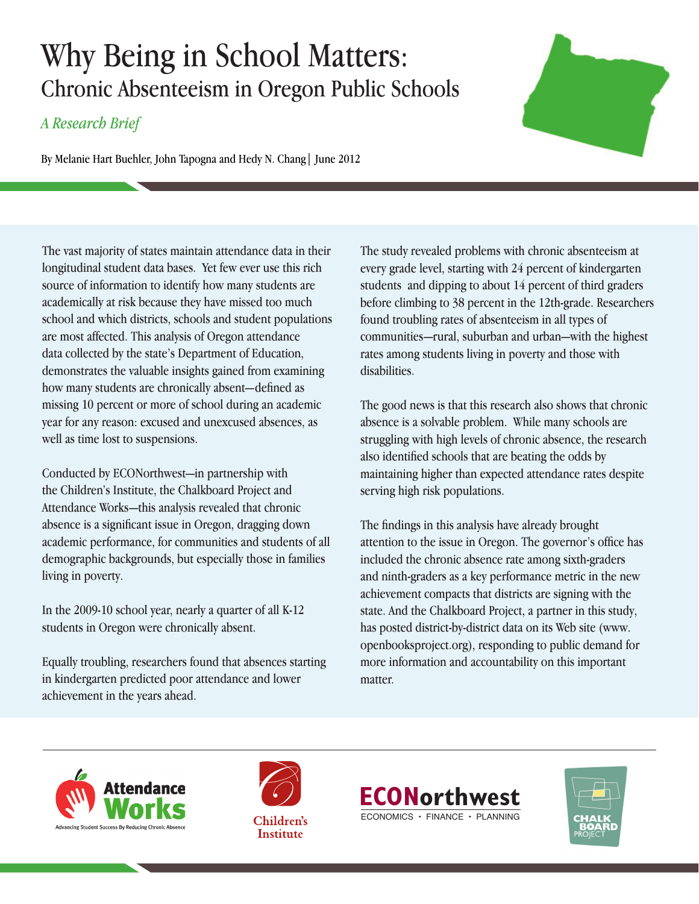# Why Being in School Matters: Chronic Absenteeism in Oregon Public Schools

# *A Research Brief*

By Melanie Hart Buehler, John Tapogna and Hedy N. Chang| June 2012

The vast majority of states maintain attendance data in their longitudinal student data bases. Yet few ever use this rich source of information to identify how many students are academically at risk because they have missed too much school and which districts, schools and student populations are most affected. This analysis of Oregon attendance data collected by the state's Department of Education, demonstrates the valuable insights gained from examining how many students are chronically absent—defined as missing 10 percent or more of school during an academic year for any reason: excused and unexcused absences, as well as time lost to suspensions.

Conducted by ECONorthwest—in partnership with the Children's Institute, the Chalkboard Project and Attendance Works—this analysis revealed that chronic absence is a significant issue in Oregon, dragging down academic performance, for communities and students of all demographic backgrounds, but especially those in families living in poverty.

In the 2009-10 school year, nearly a quarter of all K-12 students in Oregon were chronically absent.

Equally troubling, researchers found that absences starting in kindergarten predicted poor attendance and lower achievement in the years ahead.

The study revealed problems with chronic absenteeism at every grade level, starting with 24 percent of kindergarten students and dipping to about 14 percent of third graders before climbing to 38 percent in the 12th-grade. Researchers found troubling rates of absenteeism in all types of communities—rural, suburban and urban—with the highest rates among students living in poverty and those with disabilities.

The good news is that this research also shows that chronic absence is a solvable problem. While many schools are struggling with high levels of chronic absence, the research also identified schools that are beating the odds by maintaining higher than expected attendance rates despite serving high risk populations.

The findings in this analysis have already brought attention to the issue in Oregon. The governor's office has included the chronic absence rate among sixth-graders and ninth-graders as a key performance metric in the new achievement compacts that districts are signing with the state. And the Chalkboard Project, a partner in this study, has posted district-by-district data on its Web site (www. openbooksproject.org), responding to public demand for more information and accountability on this important matter.





**Institute** 





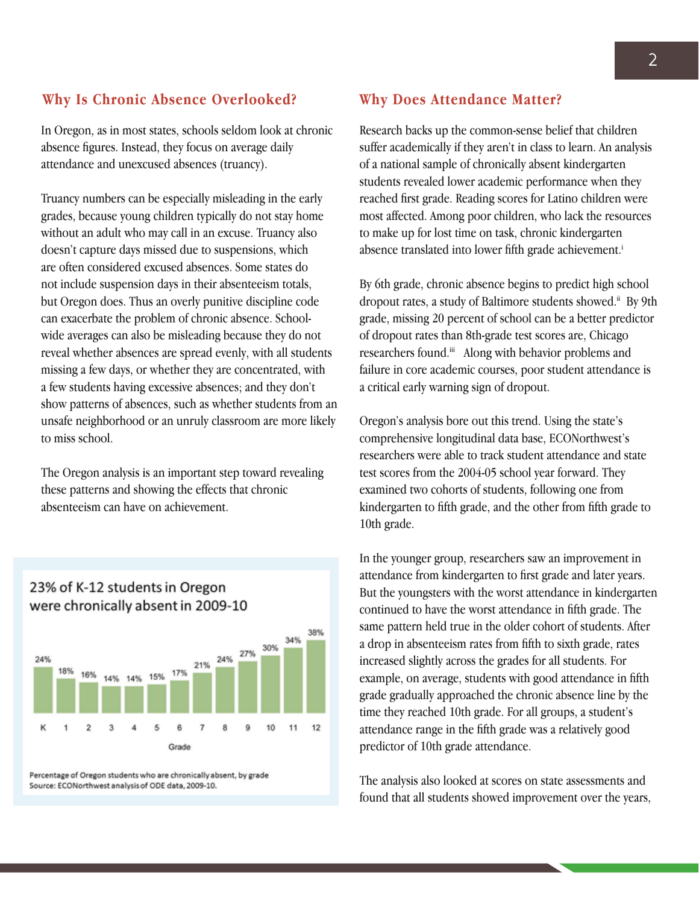### **Why Is Chronic Absence Overlooked?**

In Oregon, as in most states, schools seldom look at chronic absence figures. Instead, they focus on average daily attendance and unexcused absences (truancy).

Truancy numbers can be especially misleading in the early grades, because young children typically do not stay home without an adult who may call in an excuse. Truancy also doesn't capture days missed due to suspensions, which are often considered excused absences. Some states do not include suspension days in their absenteeism totals, but Oregon does. Thus an overly punitive discipline code can exacerbate the problem of chronic absence. Schoolwide averages can also be misleading because they do not reveal whether absences are spread evenly, with all students missing a few days, or whether they are concentrated, with a few students having excessive absences; and they don't show patterns of absences, such as whether students from an unsafe neighborhood or an unruly classroom are more likely to miss school.

The Oregon analysis is an important step toward revealing these patterns and showing the effects that chronic absenteeism can have on achievement.



## 23% of K-12 students in Oregon were chronically absent in 2009-10

Percentage of Oregon students who are chronically absent, by grade Source: ECONorthwest analysis of ODE data, 2009-10.

#### **Why Does Attendance Matter?**

Research backs up the common-sense belief that children suffer academically if they aren't in class to learn. An analysis of a national sample of chronically absent kindergarten students revealed lower academic performance when they reached first grade. Reading scores for Latino children were most affected. Among poor children, who lack the resources to make up for lost time on task, chronic kindergarten absence translated into lower fifth grade achievement.<sup>i</sup>

By 6th grade, chronic absence begins to predict high school dropout rates, a study of Baltimore students showed.<sup>ii</sup> By 9th grade, missing 20 percent of school can be a better predictor of dropout rates than 8th-grade test scores are, Chicago researchers found.<sup>iii</sup> Along with behavior problems and failure in core academic courses, poor student attendance is a critical early warning sign of dropout.

Oregon's analysis bore out this trend. Using the state's comprehensive longitudinal data base, ECONorthwest's researchers were able to track student attendance and state test scores from the 2004-05 school year forward. They examined two cohorts of students, following one from kindergarten to fifth grade, and the other from fifth grade to 10th grade.

In the younger group, researchers saw an improvement in attendance from kindergarten to first grade and later years. But the youngsters with the worst attendance in kindergarten continued to have the worst attendance in fifth grade. The same pattern held true in the older cohort of students. After a drop in absenteeism rates from fifth to sixth grade, rates increased slightly across the grades for all students. For example, on average, students with good attendance in fifth grade gradually approached the chronic absence line by the time they reached 10th grade. For all groups, a student's attendance range in the fifth grade was a relatively good predictor of 10th grade attendance.

The analysis also looked at scores on state assessments and found that all students showed improvement over the years,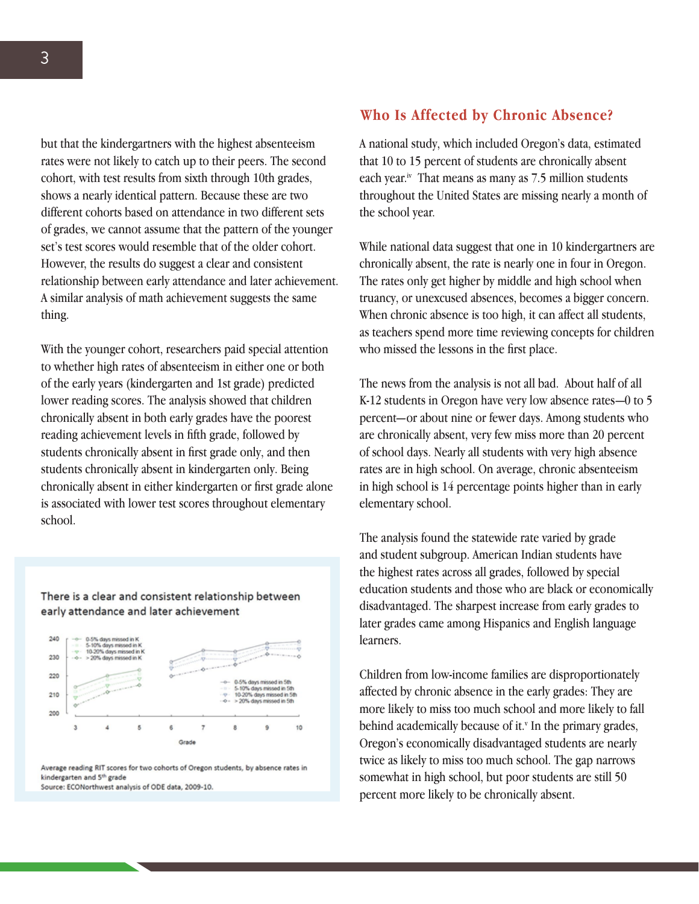but that the kindergartners with the highest absenteeism rates were not likely to catch up to their peers. The second cohort, with test results from sixth through 10th grades, shows a nearly identical pattern. Because these are two different cohorts based on attendance in two different sets of grades, we cannot assume that the pattern of the younger set's test scores would resemble that of the older cohort. However, the results do suggest a clear and consistent relationship between early attendance and later achievement. A similar analysis of math achievement suggests the same

With the younger cohort, researchers paid special attention to whether high rates of absenteeism in either one or both of the early years (kindergarten and 1st grade) predicted lower reading scores. The analysis showed that children chronically absent in both early grades have the poorest reading achievement levels in fifth grade, followed by students chronically absent in first grade only, and then students chronically absent in kindergarten only. Being chronically absent in either kindergarten or first grade alone is associated with lower test scores throughout elementary school.

#### There is a clear and consistent relationship between early attendance and later achievement



Average reading RIT scores for two cohorts of Oregon students, by absence rates in kindergarten and 5<sup>th</sup> grade

Source: ECONorthwest analysis of ODE data, 2009-10.

#### **Who Is Affected by Chronic Absence?**

A national study, which included Oregon's data, estimated that 10 to 15 percent of students are chronically absent each year.<sup>iv</sup> That means as many as 7.5 million students throughout the United States are missing nearly a month of the school year.

While national data suggest that one in 10 kindergartners are chronically absent, the rate is nearly one in four in Oregon. The rates only get higher by middle and high school when truancy, or unexcused absences, becomes a bigger concern. When chronic absence is too high, it can affect all students, as teachers spend more time reviewing concepts for children who missed the lessons in the first place.

The news from the analysis is not all bad. About half of all K-12 students in Oregon have very low absence rates—0 to 5 percent—or about nine or fewer days. Among students who are chronically absent, very few miss more than 20 percent of school days. Nearly all students with very high absence rates are in high school. On average, chronic absenteeism in high school is 14 percentage points higher than in early elementary school.

The analysis found the statewide rate varied by grade and student subgroup. American Indian students have the highest rates across all grades, followed by special education students and those who are black or economically disadvantaged. The sharpest increase from early grades to later grades came among Hispanics and English language learners.

Children from low-income families are disproportionately affected by chronic absence in the early grades: They are more likely to miss too much school and more likely to fall behind academically because of it.<sup>v</sup> In the primary grades, Oregon's economically disadvantaged students are nearly twice as likely to miss too much school. The gap narrows somewhat in high school, but poor students are still 50 percent more likely to be chronically absent.

thing.